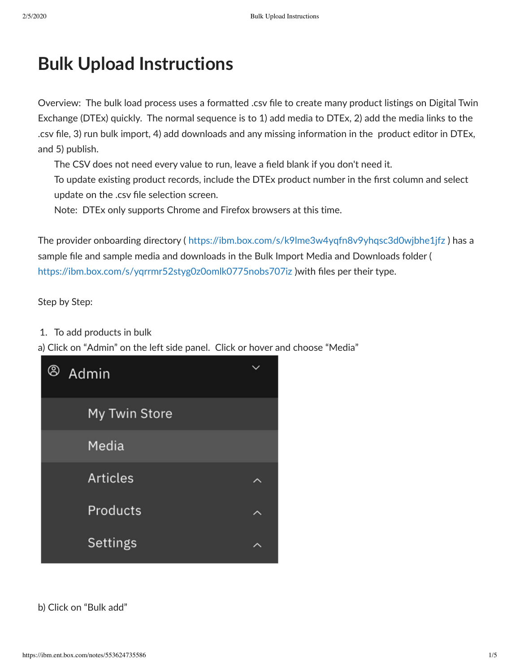## **Bulk Upload Instructions**

Overview: The bulk load process uses a formatted .csv file to create many product listings on Digital Twin Exchange (DTEx) quickly. The normal sequence is to 1) add media to DTEx, 2) add the media links to the .csv file, 3) run bulk import, 4) add downloads and any missing information in the product editor in DTEx, and 5) publish.

The CSV does not need every value to run, leave a field blank if you don't need it.

To update existing product records, include the DTEx product number in the first column and select update on the .csv file selection screen.

Note: DTEx only supports Chrome and Firefox browsers at this time.

The provider onboarding directory (<https://ibm.box.com/s/k9lme3w4yqfn8v9yhqsc3d0wjbhe1jfz> ) has a sample file and sample media and downloads in the Bulk Import Media and Downloads folder ( <https://ibm.box.com/s/yqrrmr52styg0z0omlk0775nobs707iz> )with files per their type.

Step by Step:

1. To add products in bulk

a) Click on "Admin" on the left side panel. Click or hover and choose "Media"



b) Click on "Bulk add"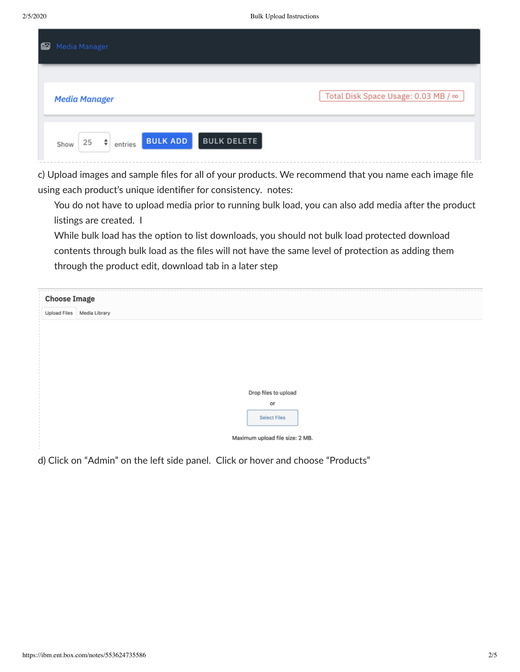| ◙ | Media Manager                                       |                                     |  |  |  |
|---|-----------------------------------------------------|-------------------------------------|--|--|--|
|   | <b>Media Manager</b>                                | Total Disk Space Usage: 0.03 MB / ∞ |  |  |  |
|   | <b>BULK ADD</b><br>$25 \div \text{entries}$<br>Show | <b>BULK DELETE</b>                  |  |  |  |

c) Upload images and sample files for all of your products. We recommend that you name each image file using each product's unique identifier for consistency. notes:

You do not have to upload media prior to running bulk load, you can also add media after the product listings are created. I

While bulk load has the option to list downloads, you should not bulk load protected download contents through bulk load as the files will not have the same level of protection as adding them through the product edit, download tab in a later step

|                     | <b>Choose Image</b>             |  |  |  |  |  |
|---------------------|---------------------------------|--|--|--|--|--|
| <b>Upload Files</b> | Media Library                   |  |  |  |  |  |
|                     |                                 |  |  |  |  |  |
|                     |                                 |  |  |  |  |  |
|                     |                                 |  |  |  |  |  |
|                     |                                 |  |  |  |  |  |
|                     |                                 |  |  |  |  |  |
|                     | Drop files to upload            |  |  |  |  |  |
|                     | or                              |  |  |  |  |  |
|                     | <b>Select Files</b>             |  |  |  |  |  |
|                     | Maximum upload file size: 2 MB. |  |  |  |  |  |
|                     |                                 |  |  |  |  |  |

d) Click on "Admin" on the left side panel. Click or hover and choose "Products"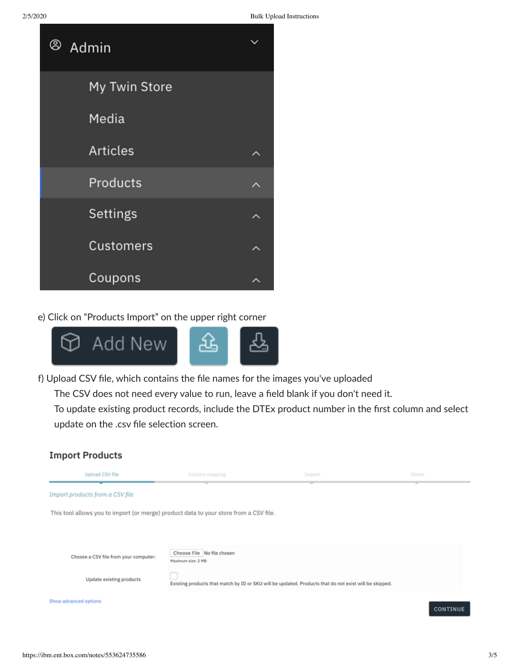

e) Click on "Products Import" on the upper right corner



f) Upload CSV file, which contains the file names for the images you've uploaded The CSV does not need every value to run, leave a field blank if you don't need it. To update existing product records, include the DTEx product number in the first column and select update on the .csv file selection screen.

## **Import Products**

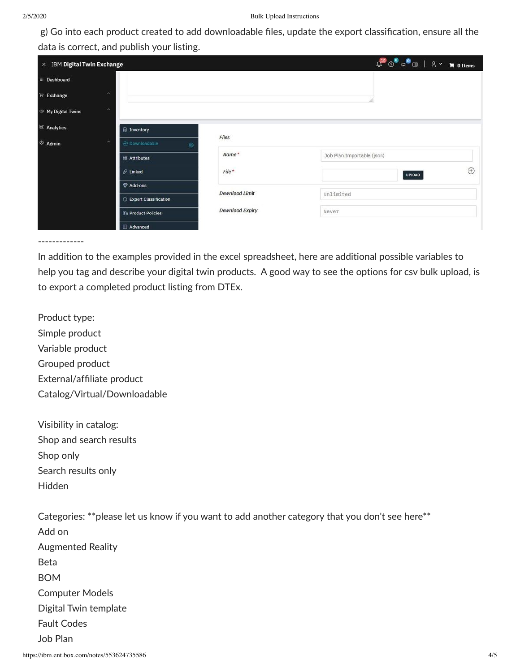g) Go into each product created to add downloadable files, update the export classification, ensure all the data is correct, and publish your listing.

| $\times$ IBM Digital Twin Exchange                                                   | $\begin{picture}(180,10) \put(0,0){\line(1,0){10}} \put(15,0){\line(1,0){10}} \put(15,0){\line(1,0){10}} \put(15,0){\line(1,0){10}} \put(15,0){\line(1,0){10}} \put(15,0){\line(1,0){10}} \put(15,0){\line(1,0){10}} \put(15,0){\line(1,0){10}} \put(15,0){\line(1,0){10}} \put(15,0){\line(1,0){10}} \put(15,0){\line(1,0){10}} \put(15,0){\line($ |                         |                        |                              |
|--------------------------------------------------------------------------------------|-----------------------------------------------------------------------------------------------------------------------------------------------------------------------------------------------------------------------------------------------------------------------------------------------------------------------------------------------------|-------------------------|------------------------|------------------------------|
| Dashboard<br>m                                                                       |                                                                                                                                                                                                                                                                                                                                                     |                         |                        |                              |
| $\overline{\mathbb{H}}$<br>Exchange                                                  | $\hat{\phantom{a}}$                                                                                                                                                                                                                                                                                                                                 |                         |                        |                              |
| <sup>®</sup> My Digital Twins                                                        | $\boldsymbol{\wedge}$                                                                                                                                                                                                                                                                                                                               |                         |                        |                              |
| M Analytics                                                                          |                                                                                                                                                                                                                                                                                                                                                     | <b>■ Inventory</b>      |                        |                              |
| Files<br>$@$ Admin<br>$\hat{\phantom{a}}$<br><b>E</b> Downloadable<br>$\circledcirc$ |                                                                                                                                                                                                                                                                                                                                                     |                         |                        |                              |
|                                                                                      |                                                                                                                                                                                                                                                                                                                                                     | <b>Ell</b> Attributes   | Name*                  | Job Plan Importable (json)   |
|                                                                                      |                                                                                                                                                                                                                                                                                                                                                     | $O$ Linked              | $File*$                | $_{\oplus}$<br><b>UPLOAD</b> |
|                                                                                      |                                                                                                                                                                                                                                                                                                                                                     | Add-ons                 |                        |                              |
|                                                                                      |                                                                                                                                                                                                                                                                                                                                                     | C Export Classification | <b>Download Limit</b>  | Unlimited                    |
|                                                                                      |                                                                                                                                                                                                                                                                                                                                                     | <b>Product Policies</b> | <b>Download Expiry</b> | Never                        |
|                                                                                      |                                                                                                                                                                                                                                                                                                                                                     | <b>EB</b> Advanced      |                        |                              |

-------------

In addition to the examples provided in the excel spreadsheet, here are additional possible variables to help you tag and describe your digital twin products. A good way to see the options for csv bulk upload, is to export a completed product listing from DTEx.

Product type: Simple product Variable product Grouped product External/affiliate product Catalog/Virtual/Downloadable

Visibility in catalog: Shop and search results Shop only Search results only Hidden

Categories: \*\*please let us know if you want to add another category that you don't see here\*\* Add on Augmented Reality Beta BOM Computer Models Digital Twin template Fault Codes Job Plan